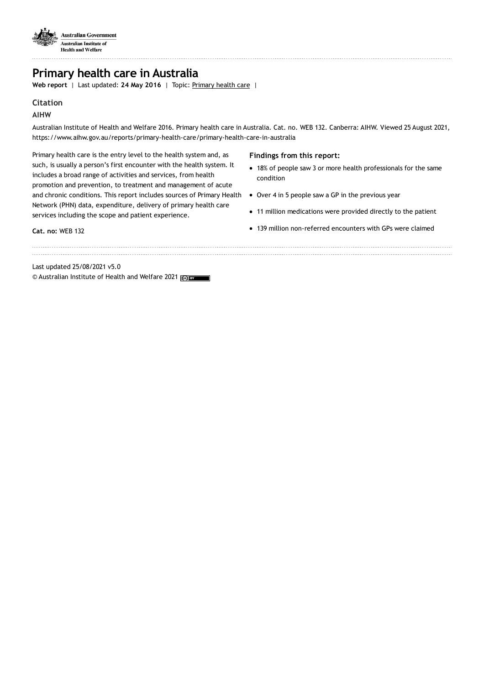

## **Primary health care in Australia**

**Web report** | Last updated: **24 May 2016** | Topic: [Primary](https://www.aihw.gov.au/reports-data/health-welfare-services/primary-health-care) health care |

### **Citation**

## **AIHW**

Australian Institute of Health and Welfare 2016. Primary health care in Australia. Cat. no. WEB 132. Canberra: AIHW. Viewed 25 August 2021, https://www.aihw.gov.au/reports/primary-health-care/primary-health-care-in-australia

Primary health care is the entry level to the health system and, as such, is usually a person's first encounter with the health system. It includes a broad range of activities and services, from health promotion and prevention, to treatment and management of acute and chronic conditions. This report includes sources of Primary Health Network (PHN) data, expenditure, delivery of primary health care services including the scope and patient experience.

### **Findings from this report:**

- 18% of people saw 3 or more health professionals for the same condition
- Over 4 in 5 people saw a GP in the previous year
- 11 million medications were provided directly to the patient
- 139 million non-referred encounters with GPs were claimed

**Cat. no:** WEB 132

Last updated 25/08/2021 v5.0 © Australian Institute of Health and Welfare 2021 (@) BY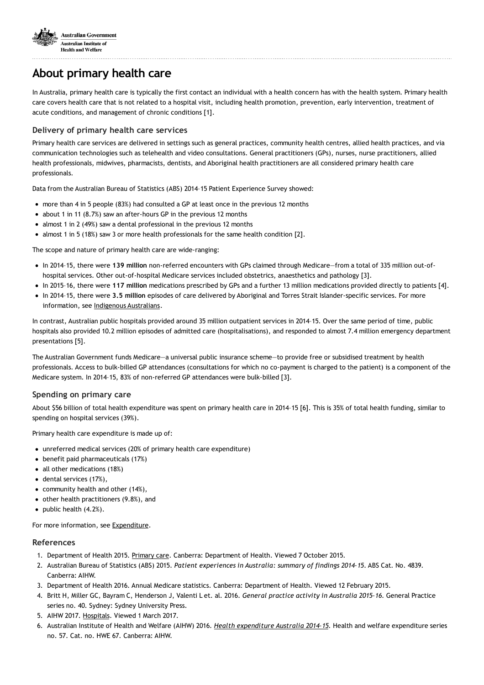

# **About primary health care**

In Australia, primary health care is typically the first contact an individual with a health concern has with the health system. Primary health care covers health care that is not related to a hospital visit, including health promotion, prevention, early intervention, treatment of acute conditions, and management of chronic conditions [1].

## **Delivery of primary health care services**

Primary health care services are delivered in settings such as general practices, community health centres, allied health practices, and via communication technologies such as telehealth and video consultations. General practitioners (GPs), nurses, nurse practitioners, allied health professionals, midwives, pharmacists, dentists, and Aboriginal health practitioners are all considered primary health care professionals.

Data from the Australian Bureau of Statistics (ABS) 2014–15 Patient Experience Survey showed:

- more than 4 in 5 people (83%) had consulted a GP at least once in the previous 12 months
- about 1 in 11 (8.7%) saw an after-hours GP in the previous 12 months
- almost 1 in 2 (49%) saw a dental professional in the previous 12 months
- almost 1 in 5 (18%) saw 3 or more health professionals for the same health condition [2].

The scope and nature of primary health care are wide-ranging:

- In 2014–15, there were **139 million** non-referred encounters with GPs claimed through Medicare—from a total of 335 million out-ofhospital services. Other out-of-hospital Medicare services included obstetrics, anaesthetics and pathology [3].
- In 2015–16, there were **117 million** medications prescribed by GPs and a further 13 million medications provided directly to patients [4].
- In 2014–15, there were **3.5 million** episodes of care delivered by Aboriginal and Torres Strait Islander-specific services. For more information, see Indigenous [Australians.](https://www.aihw.gov.au/reports-statistics/population-groups/indigenous-australians/overview)

In contrast, Australian public hospitals provided around 35 million outpatient services in 2014–15. Over the same period of time, public hospitals also provided 10.2 million episodes of admitted care (hospitalisations), and responded to almost 7.4 million emergency department presentations [5].

The Australian Government funds Medicare—a universal public insurance scheme—to provide free or subsidised treatment by health professionals. Access to bulk-billed GP attendances (consultations for which no co-payment is charged to the patient) is a component of the Medicare system. In 2014–15, 83% of non-referred GP attendances were bulk-billed [3].

### **Spending on primary care**

About \$56 billion of total health expenditure was spent on primary health care in 2014–15 [6]. This is 35% of total health funding, similar to spending on hospital services (39%).

Primary health care expenditure is made up of:

- unreferred medical services (20% of primary health care expenditure)
- benefit paid pharmaceuticals (17%)
- all other medications (18%)
- dental services (17%),
- $\bullet$  community health and other (14%),
- $\bullet$  other health practitioners (9.8%), and
- $\bullet$  public health  $(4.2%)$ .

For more information, see [Expenditure.](https://www.aihw.gov.au/reports-statistics/health-welfare-overview/health-welfare-expenditure/overview)

### **References**

- 1. Department of Health 2015. [Primary](http://www.health.gov.au/internet/main/publishing.nsf/Content/primarycare) care. Canberra: Department of Health. Viewed 7 October 2015.
- 2. Australian Bureau of Statistics (ABS) 2015. *Patient experiences in Australia: summary of findings 2014–15*. ABS Cat. No. 4839. Canberra: AIHW.
- 3. Department of Health 2016. Annual Medicare statistics. Canberra: Department of Health. Viewed 12 February 2015.
- 4. Britt H, Miller GC, Bayram C, Henderson J, Valenti L et. al. 2016. *General practice activity in Australia 2015–16*. General Practice series no. 40. Sydney: Sydney University Press.
- 5. AIHW 2017. [Hospitals.](https://www.aihw.gov.au/reports-data/health-welfare-services/hospitals/overview) Viewed 1 March 2017.
- 6. Australian Institute of Health and Welfare (AIHW) 2016. *Health [expenditure](https://www.aihw.gov.au/reports/health-welfare-expenditure/health-expenditure-australia-2014-15) Australia 2014–15.* Health and welfare expenditure series no. 57. Cat. no. HWE 67. Canberra: AIHW.